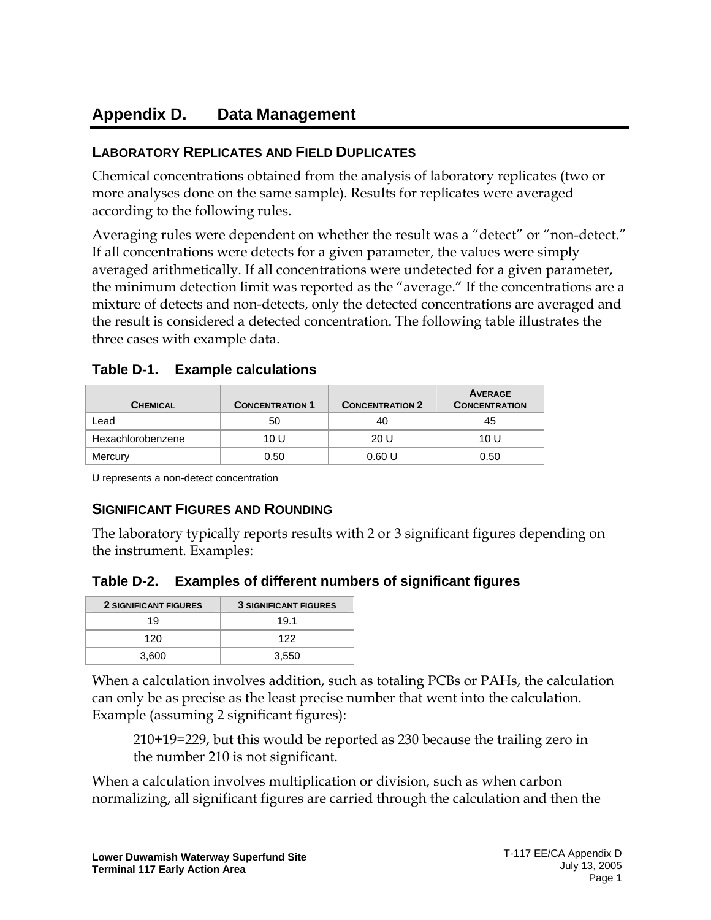# **Appendix D. Data Management**

### **LABORATORY REPLICATES AND FIELD DUPLICATES**

Chemical concentrations obtained from the analysis of laboratory replicates (two or more analyses done on the same sample). Results for replicates were averaged according to the following rules.

Averaging rules were dependent on whether the result was a "detect" or "non-detect." If all concentrations were detects for a given parameter, the values were simply averaged arithmetically. If all concentrations were undetected for a given parameter, the minimum detection limit was reported as the "average." If the concentrations are a mixture of detects and non-detects, only the detected concentrations are averaged and the result is considered a detected concentration. The following table illustrates the three cases with example data.

| <b>CHEMICAL</b>   | <b>CONCENTRATION 1</b> | <b>CONCENTRATION 2</b> | <b>AVERAGE</b><br><b>CONCENTRATION</b> |
|-------------------|------------------------|------------------------|----------------------------------------|
| Lead              | 50                     | 40                     | 45                                     |
| Hexachlorobenzene | 10 U                   | 20 U                   | 10 U                                   |
| Mercury           | 0.50                   | 0.60 U                 | 0.50                                   |

#### **Table D-1. Example calculations**

U represents a non-detect concentration

### **SIGNIFICANT FIGURES AND ROUNDING**

The laboratory typically reports results with 2 or 3 significant figures depending on the instrument. Examples:

#### **Table D-2. Examples of different numbers of significant figures**

| <b>2 SIGNIFICANT FIGURES</b> | <b>3 SIGNIFICANT FIGURES</b> |  |
|------------------------------|------------------------------|--|
| 19                           | 19.1                         |  |
| 120                          | 122                          |  |
| 3,600                        | 3,550                        |  |

When a calculation involves addition, such as totaling PCBs or PAHs, the calculation can only be as precise as the least precise number that went into the calculation. Example (assuming 2 significant figures):

210+19=229, but this would be reported as 230 because the trailing zero in the number 210 is not significant.

When a calculation involves multiplication or division, such as when carbon normalizing, all significant figures are carried through the calculation and then the